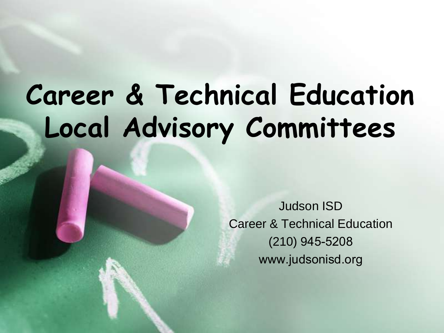#### **Career & Technical Education Local Advisory Committees**

Judson ISD Career & Technical Education (210) 945-5208 www.judsonisd.org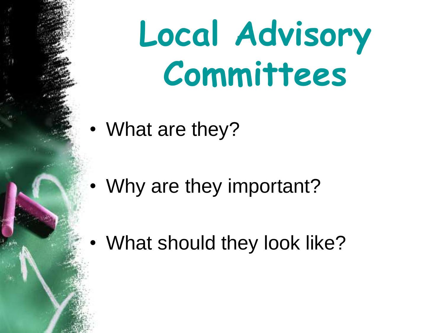# **Local Advisory Committees**

• What are they?

• Why are they important?

• What should they look like?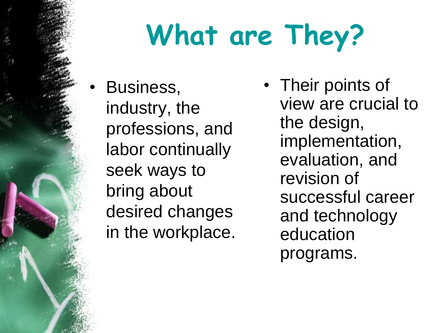# **What are They?**

- Business, industry, the professions, and labor continually seek ways to bring about desired changes in the workplace.
- Their points of view are crucial to the design, implementation, evaluation, and revision of successful career and technology education programs.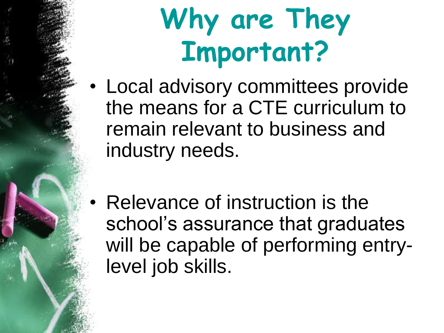- Local advisory committees provide the means for a CTE curriculum to remain relevant to business and industry needs.
- Relevance of instruction is the school's assurance that graduates will be capable of performing entrylevel job skills.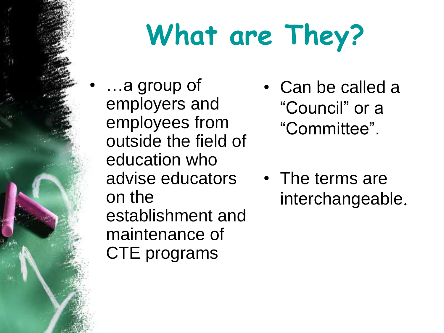## **What are They?**

- …a group of employers and employees from outside the field of education who advise educators on the establishment and maintenance of CTE programs
- Can be called a "Council" or a "Committee".
- The terms are interchangeable.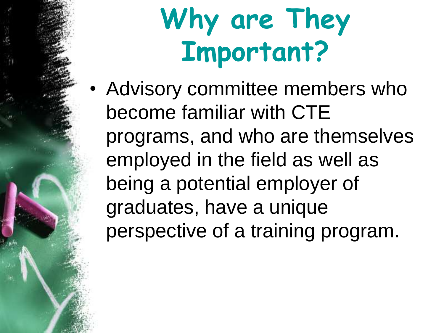• Advisory committee members who become familiar with CTE programs, and who are themselves employed in the field as well as being a potential employer of graduates, have a unique perspective of a training program.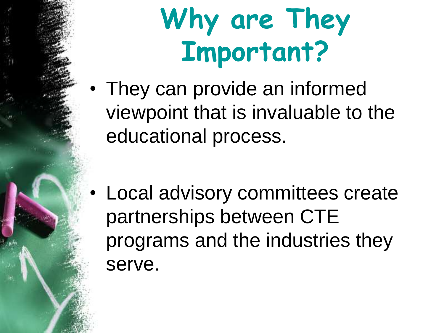• They can provide an informed viewpoint that is invaluable to the educational process.

• Local advisory committees create partnerships between CTE programs and the industries they serve.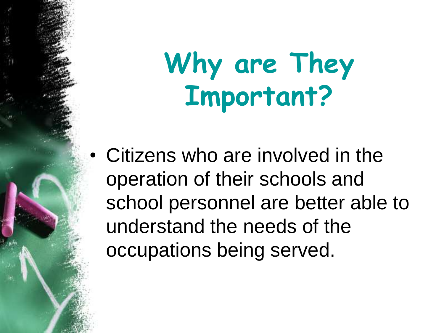• Citizens who are involved in the operation of their schools and school personnel are better able to understand the needs of the occupations being served.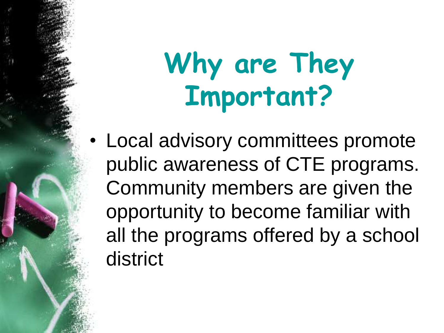• Local advisory committees promote public awareness of CTE programs. Community members are given the opportunity to become familiar with all the programs offered by a school district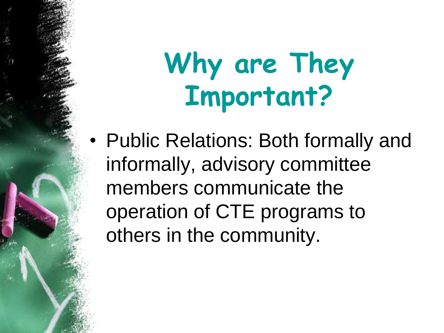• Public Relations: Both formally and informally, advisory committee members communicate the operation of CTE programs to others in the community.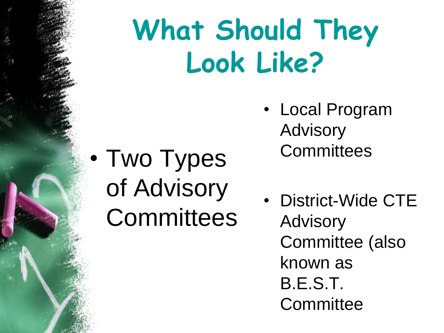### **What Should They Look Like?**

- Two Types of Advisory **Committees**
- Local Program Advisory **Committees**
- District-Wide CTE Advisory Committee (also known as B.E.S.T. **Committee**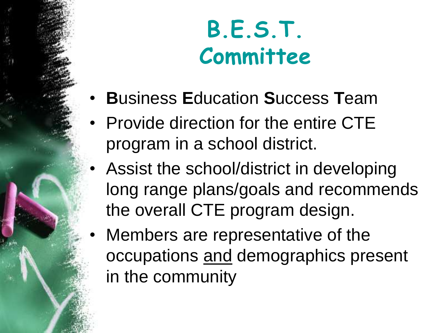**B.E.S.T. Committee**

- **B**usiness **E**ducation **S**uccess **T**eam
- Provide direction for the entire CTE program in a school district.
- Assist the school/district in developing long range plans/goals and recommends the overall CTE program design.
- Members are representative of the occupations and demographics present in the community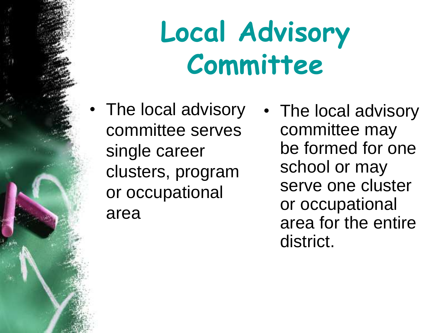### **Local Advisory Committee**

- The local advisory committee serves single career clusters, program or occupational area
- The local advisory committee may be formed for one school or may serve one cluster or occupational area for the entire district.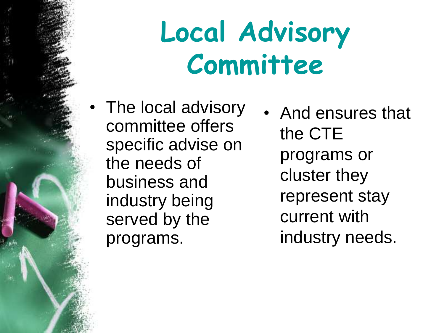### **Local Advisory Committee**

- The local advisory committee offers specific advise on the needs of business and industry being served by the programs.
- And ensures that the CTE programs or cluster they represent stay current with industry needs.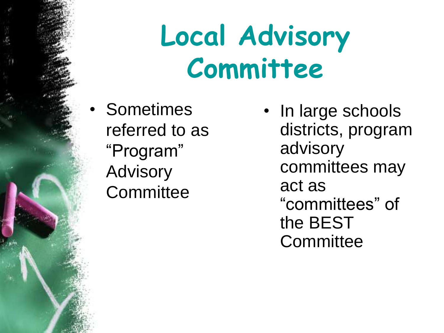### **Local Advisory Committee**

• Sometimes referred to as "Program" Advisory **Committee** 

In large schools districts, program advisory committees may act as "committees" of the BEST **Committee**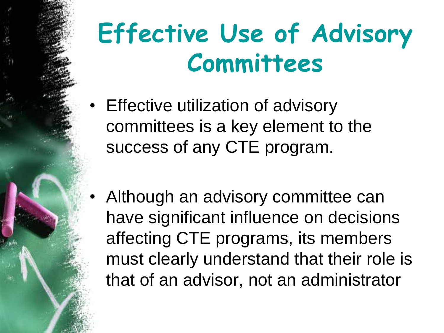#### **Effective Use of Advisory Committees**

- Effective utilization of advisory committees is a key element to the success of any CTE program.
- Although an advisory committee can have significant influence on decisions affecting CTE programs, its members must clearly understand that their role is that of an advisor, not an administrator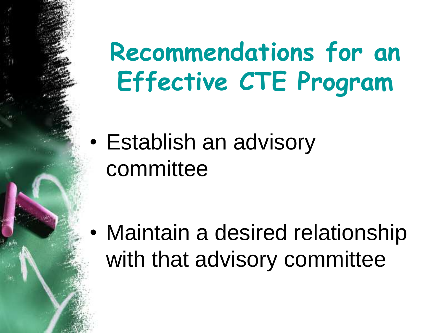• Establish an advisory committee

• Maintain a desired relationship with that advisory committee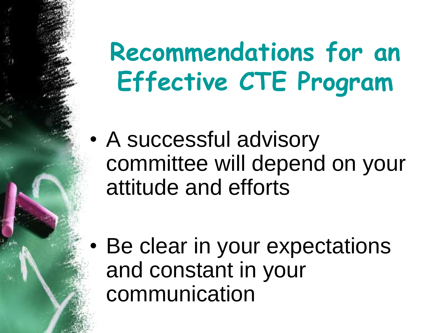• A successful advisory committee will depend on your attitude and efforts

• Be clear in your expectations and constant in your communication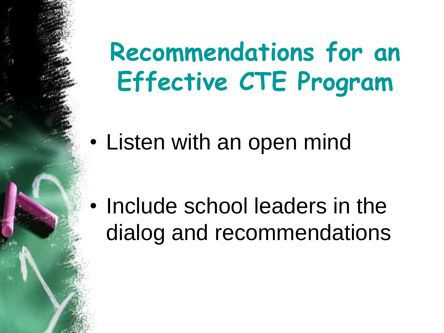• Listen with an open mind

• Include school leaders in the dialog and recommendations